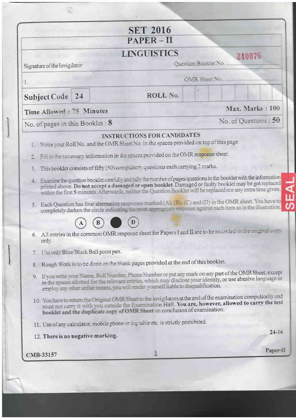|                                     | <b>SET 2016</b>                                                                                                                                                                                                                                                                                                                                |                      |  |  |
|-------------------------------------|------------------------------------------------------------------------------------------------------------------------------------------------------------------------------------------------------------------------------------------------------------------------------------------------------------------------------------------------|----------------------|--|--|
|                                     | $PAPER - II$                                                                                                                                                                                                                                                                                                                                   |                      |  |  |
|                                     | <b>LINGUISTICS</b>                                                                                                                                                                                                                                                                                                                             | 240076               |  |  |
| Signature of the Invigilator        |                                                                                                                                                                                                                                                                                                                                                | Question Booklet No  |  |  |
| 1.                                  |                                                                                                                                                                                                                                                                                                                                                | OMR Sheet No.        |  |  |
| 24<br>Subject Code                  | ROLL No.                                                                                                                                                                                                                                                                                                                                       |                      |  |  |
| Time Allowed 75 Minutes             |                                                                                                                                                                                                                                                                                                                                                | Max. Marks: 100      |  |  |
| No. of pages in this Booklet: 8     |                                                                                                                                                                                                                                                                                                                                                | No. of Questions: 50 |  |  |
|                                     | <b>INSTRUCTIONS FOR CANDIDATES</b><br>1. Write your Roll No. and the OMR Sheet No. in the spaces provided on top of this page.                                                                                                                                                                                                                 |                      |  |  |
|                                     | 2 Fill in the necessary information in the spaces provided on the OMR response sheet.                                                                                                                                                                                                                                                          |                      |  |  |
| 3.                                  | This booklet consists of fifty (50) compulsory questions each carrying 2 marks.                                                                                                                                                                                                                                                                |                      |  |  |
| 4.                                  | Examine the question booklet carefully and tally the number of pages/questions in the booklet with the information<br>printed above. Do not accept a damaged or onen booklet. Damaged or faulty booklet may be got replaced<br>within the first 5 minutes. Afterwards, neither the Question Booklet will be replaced nor any extra time given. |                      |  |  |
|                                     | 5. Each Question has four alternative responses marked (A), (B), (C) and (D) in the OMR sheet. You have to<br>completely darken the circle indicating the most appropriate response against each item as in the illustration.                                                                                                                  |                      |  |  |
|                                     |                                                                                                                                                                                                                                                                                                                                                |                      |  |  |
|                                     |                                                                                                                                                                                                                                                                                                                                                |                      |  |  |
| only.                               | 6. All entries in the common OMR response sheet for Papers I and II are to be recorded in the crightal attracts                                                                                                                                                                                                                                |                      |  |  |
| Use only Blue Black Ball point pen. |                                                                                                                                                                                                                                                                                                                                                |                      |  |  |
| $\mathbf{S}$                        | Rough Work is to be done on the blank pages provided at the end of this booklet.                                                                                                                                                                                                                                                               |                      |  |  |
|                                     | 9. If you write your Name, Roll Number, Phone Number or put any mark on any part of the OMR Sheet, except<br>in the spaces allotted for the relevant entries, which may disclose your identity, or use abusive language or<br>employ any other unfair means, you will render yourself liable to disqualification.                              |                      |  |  |
|                                     | 10. You have to return the Original OMR Sheet to the invigilators at the end of the examination compulsorily and<br>must not carry it with you outside the Examination Hall. You are, however, allowed to carry the test<br>booklet and the duplicate copy of OMR Sheet on conclusion of examination.                                          |                      |  |  |
|                                     |                                                                                                                                                                                                                                                                                                                                                |                      |  |  |
| 12. There is no negative marking.   | 11. Use of any calculator, mobile phone or log table etc. is strictly prohibited.                                                                                                                                                                                                                                                              | $24 - 16$            |  |  |

ה<br>מ

÷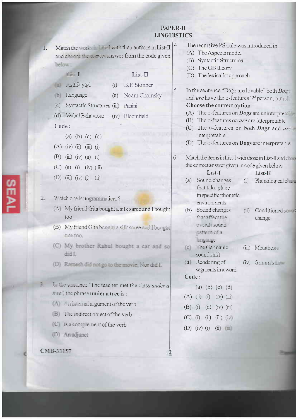# **PAPER-II LINGUISTICS**

Match the works  $\leq$  1 said with their authors in List-II  $\mid$  4.  $1.$ and choilse the attract answer from the code given below:

 $(i)$ 

 $(ii)$ 

#### List-I

## List-II

- Asthadyayi (a)
- 
- 
- **B.F. Skinner**
- (b) Language
- Noam Chomsky
- (c) Syntactic Structures (iii) Panini
- (d) Verbal Behaviour (iv) Bloomfield

## Code:

- (a) (b) (c) (d)
- $(A)$  (iv) (ii) (iii) (i)
- (B)  $(iii)$   $(iv)$   $(ii)$   $(i)$
- $(C)$  (i) (i) (iv) (iii)
- (D) (iii) (iv) (i) (ii)
- $2.$ Which one is un trammatical?
	- (A) My friend Gita bought a silk saree and I bought too.
	- (B) My friend Gita bought a silk saree and I bought one too.
	- (C) My brother Rahul bought a car and so didit
	- (D) Ramesh did not go to the movie, Nor did I.
- з. In the sentence 'The teacher met the class under a mee the phrase under a tree is :
	- (A) An internal argument of the verb
	- $B$  The indirect object of the verb
	- **C** is a complement of the verb
	- (D) An adjunct

CMB-33157

- The recursive PS-rule was introduced in:
- (A) The Aspects model
- (B) Syntactic Structures
- (C) The GB theory
- (D) The lexicalist approach
- In the sentence "Dogs are lovable" both  $Dogs$ 5. and are have the  $\phi$ -features 3<sup>rd</sup> person, plura. Choose the correct option
	- (A) The  $\phi$ -features on *Dogs* are uninterpretable.
	- (B) The  $\phi$ -features on *are* are interpretable
	- (C) The  $\phi$ -features on both **Dogs** and are interpretable
	- (D) The  $\phi$ -features on **Dogs** are interpretable
- 6. Match the items in List-I with those in List-II and change the correct answer given in code given below:

 $(i)$ 

 $(i)$ 

## List-I

- Sound changes  $(a)$ that take place in specific phonetic environments
- (b) Sound changes that affect the overall sound pattern of a language
- (c) The Germanic sound shift
- $(d)$  Reodering of segments in a word

#### Code:

- (a) (b) (c) (d)  $(A)$  (ii) (i) (iv) (iii)  $(B)$  (i) (ii) (iv) (iii)  $(C)$  (i) (ii) (iii) (iv)  $(D)$  (iv) (i)  $(ii)$  (
- (iii) Metathesis

change

 $List-II$ 

Phonological charge

Conditioned s

 $(iv)$  Grimm's  $L =$ 

 $\overline{2}$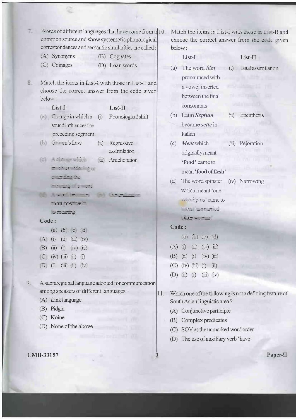| 7. | Words of different languages that have come from a 10.<br>common source and show systematic phonological<br>correspondences and semantic similarities are called: | Match the items in List-I with those in List-II and<br>choose the correct answer from the case given<br>below: |  |  |  |
|----|-------------------------------------------------------------------------------------------------------------------------------------------------------------------|----------------------------------------------------------------------------------------------------------------|--|--|--|
|    | (A) Synonyms<br>(B) Cognates                                                                                                                                      | List-I<br>List-II                                                                                              |  |  |  |
|    | (C) Coinages<br>(D) Loan words                                                                                                                                    | The word film<br>(i) Total assimilation<br>(a)                                                                 |  |  |  |
| 8. | Match the items in List-I with those in List-II and<br>choose the correct answer from the code given<br>below:                                                    | pronounced with<br><b>All Limits</b><br>a vowel inserted<br>ni mamasari<br>between the final<br><b>TRI</b>     |  |  |  |
|    | List-I<br>$List-II$                                                                                                                                               | consonants                                                                                                     |  |  |  |
|    | (a) Change in which a (i)<br>Phonological shift<br>sound influences the                                                                                           | (ii) Epenthesis<br>Latin Septum<br>(b)<br>became sette in                                                      |  |  |  |
|    | preceding segment                                                                                                                                                 | Italian                                                                                                        |  |  |  |
|    | (b) Grimm's Law<br>Regressive<br>(ii)<br>assimilation                                                                                                             | Meat which<br>(iii) Pejoration<br>(c)<br>originally meant                                                      |  |  |  |
|    | (c) Achange which<br>Amelioration<br>(iii)                                                                                                                        | <b>MODE CRI</b><br>'food' came to                                                                              |  |  |  |
|    | End Nes - Mening or                                                                                                                                               | mean 'food of flesh'                                                                                           |  |  |  |
|    | stepen de                                                                                                                                                         | The word spinster<br>(iv) Narrowing<br>(d)                                                                     |  |  |  |
|    | meeting of a wind                                                                                                                                                 | which meant 'one                                                                                               |  |  |  |
|    | $\sim 1000$ respectively.<br>EXPOSITED                                                                                                                            | who Spins' came to                                                                                             |  |  |  |
|    | its meaning                                                                                                                                                       | meth "immumed"                                                                                                 |  |  |  |
|    | Code:                                                                                                                                                             | $0.05 - 7 - 1$                                                                                                 |  |  |  |
|    | $(3)$ $(5)$ $(3)$ $(2)$                                                                                                                                           | Code:                                                                                                          |  |  |  |
|    | $(A)$ (i)<br>$\ddot{u}$<br>$(iii)$ $(iv)$                                                                                                                         | (a) (b) (c) $(d)$                                                                                              |  |  |  |
|    | $(B)$ (ii) (i) (iv) (iii)                                                                                                                                         | $(A)$ (i) (ii) (iv) (iii)                                                                                      |  |  |  |
|    | $(C)$ (iv) (iii)<br>(ii)<br>(i)                                                                                                                                   | $(B)$ (ii)<br>$(iv)$ (iii)<br>(i)                                                                              |  |  |  |
|    | (i)<br>$(iii)$ $(i)$<br>(iv)<br>(D)                                                                                                                               | (C)<br>$(iv)$ $(iii)$<br>(ii)<br>(i)                                                                           |  |  |  |
|    |                                                                                                                                                                   | (D)<br>$(iii)$ $(iv)$<br>(ii)<br>(i)                                                                           |  |  |  |
| 9. | A supraregional language adopted for communication<br>among speakers of different languages.<br>$ 11\rangle$<br>(A) Link language                                 | Which one of the following is not a defining feature of<br>South Asian linguistic area?                        |  |  |  |
|    | Pidgin<br>(B)                                                                                                                                                     | (A) Conjunctive participle                                                                                     |  |  |  |
|    | (C) Koine                                                                                                                                                         | Complex predicates<br>(B)                                                                                      |  |  |  |

 $\overline{3}$ 

(D) None of the above

# CMB-33157

Paper- $\Pi$ 

(C) SOV as the unmarked word order (D) The use of auxiliary verb 'have'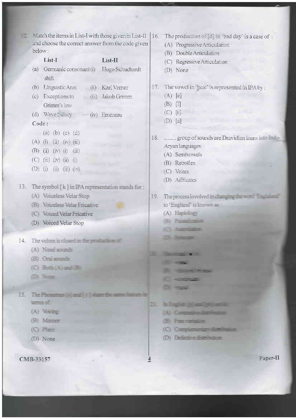$\mathcal{M}$  atch the items in List-I with those given in List-II | 16. The production of [d] in 'bad day' is a case of : and choose the correct answer from the code given (A) Progressive Articulation below: (B) Double Articulation List-I List-II (C) Regressive Articulation (a) Germanic consonant (i) Hugo Schuchardt (D) None shift (b) Linguistic Area 17. The vowel in 'heat' is represented in IPA by: (ii) Karl Verner  $(A)$  [e] (c) Exceptions to (iii) Jakob Grimm  $(B)$   $\Pi$ Grimm's law  $(C)$  [ii] (d) Wave theory = (iv) Emeneau  $(D)$  [a] Code: (a) (b) (c) (d) 18 ......... group of sounds are Dravidian loans into Indi- $(A)$  (i) (ii) (iv) (iii) Aryan languages. (B) (ii) (iv) (i) (iii) (A) Semivowels  $(C)$  (iii) (iv) (ii) (i) (B) Retrollex (D) (i) (ii) (iii) (iv) (C) Velars (D) Affricates 13. The symbol [k] in IPA representation stands for : (A) Voiceless Velar Stop 19. The process involved in changing the second line to 'England' is known as: (B) Voiceless Velar Fricative (C) Voiced Velar Fricative (A) Haplology (B) Printerline (D) Voiced Velar Stop 14. The velum is closed in the production of (A) Nasal scomfs **The Contract of Contract of Contract of Contract of Contract of Contract of Contract of Contract of Contract of Contract of Contract of Contract of Contract of Contract of Contract of Contract of Contract of Contract of C** (B) Osei squads (C) Both (A) and (B)  $-10<10$ (D) None  $\sim$   $\sim$   $\sim$ 15. The Photomes Island (#1 stars terms of: 21. In Tracks in and will will (A) Voicing (A) Company derivate (B) Masser  $(B)$  Francischen (C) Place (C) Complementary dispute (D) Defective disc lines on (D) None CMB-33157 4

Paper-II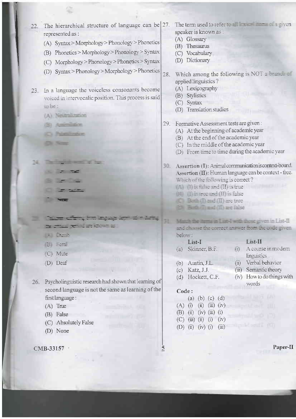The hierarchical structure of language can be  $27$ .  $22.$ represented as :

- (A) Syntax>Morphology>Phonology>Phonetics
- (B) Phonetics > Morphology > Phonology > Syntax
- (C) Morphology>Phonology>Phonetics>Syntax
- (D) Syntax>Phonology>Morphology>Phonetics

23. In a language the voiceless consonants become voiced in intervocalic position. This process is said taile:

- (A) Neutralization
- (B) Aministro
- **O** Notice **Class Primer**

- -

**STATISTICS** 

- 
- 

<u>These school and agree to:</u>

- ment to detect a
- $\frac{1}{2} \int_{0}^{\infty} \frac{1}{2} \left( \frac{1}{2} \frac{1}{2} \right) \frac{1}{2} \left( \frac{1}{2} \frac{1}{2} \right) \frac{1}{2} \left( \frac{1}{2} \frac{1}{2} \right)$
- (B) Feral
- (C) Mute
- (D) Deaf

26. Psycholinguistic research had shown that learning of second language is not the same as learning of the first language:

- $(A)$  True
- (B) False
- (C) Absolutely False
- (D) None

CMB-33157

The term used to refer to all entitled to the piven speaker is known as:

- (A) Glossary
- (B) Thesaurus
- (C) Vocabulary
- (D) Dictionary
- Which among the following is NOT a branch of  $28$ applied linguistics?
	- (A) Lexicography
	- (B) Stylistics
	- (C) Syntax
	- (D) Translation studies
- 29. Formative Assessment tests are given:
	- (A) At the beginning of academic year
	- (B) At the end of the academic year
	- (C) In the middle of the academic year
	- (D) From time to time during the academic year
- 30 Assertion (I): Animal communication is context-bound. Assertion  $(II)$ : Human language can be context - free. Which of the following is correct?
	- $\blacksquare$  (1) is false and (II) is true
	- **E** This true and (II) is false
	- **C** Bath (I) and (II) are true
	- **Di Briti Trasi (II)** zee lalse

## Match the figms in List-I with those given in List-II and change the correct answer from the quide given below.

 $(ii)$ 

List-II

linguistics Verbal behavior

(iii) Semantic theory

words

(iv) How to do things with

(i) A course in modern

| $List-I$<br>(a) Skinner, B.F. |  |  |
|-------------------------------|--|--|
| $(b)$ Austin, J.L.            |  |  |

- $(c)$  Katz, J.J.
- (d) Hockett, C.F.
- 

### Code:

 $\overline{2}$ 

|  | (a) (b) (c) (d)           |       |
|--|---------------------------|-------|
|  | $(A)$ (i) (ii) (iii) (iv) |       |
|  | $(B)$ (ii) (iv) (iii) (i) |       |
|  | $(C)$ (iii) (ii) (i) (iv) |       |
|  | (D) (ii) (iv) (i)         | (iii) |

## Paper-II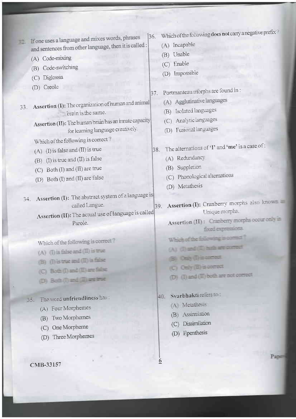If one uses a language and mixes words, phrases 33. and sentences from other language, then it is called :

- (A) Code-mixing
- (B) Code-switching
- (C) Diglossia
- (D) Creole

Assertion (I): The organization of human and animal 33. brain is the same.

> Assertion (II): The human brain has an innate capacity for learning language creatively.

Which of the following is correct?

- (A) (I) is false and (II) is true
- (B) (I) is true and (II) is false
- (C) Both (I) and (II) are true
- (D) Both (I) and (II) are false
- 34. Assertion (I): The abstract system of a language is called Langue.

Assertion (II): The actual use of language is called Parole.

Which of the following is correct?

- (A) (I) is false and (II) is true
- (B) (I) is true and (II) is false
- (C) Brit (I) and (II) are false
- (D) Set (I) and (II) are true

#### The word unfriendliness has: 55.

- (A) Four Morphemes
- (B) Two Morphemes
- (C) One Morpherne
- (D) Three Morphemes

CMB-33157

Which of the following does not carry a negative prefix? 36.

- (A) Incapable
- (B) Unable
- (C) Enable
- (D) Impossible
- Portmanteau morphs are found in: 37.
	- (A) Agglutinative languages
	- (B) Isolated languages
	- (C) Analytic languages
	- (D) Fusional languages
- The alternations of 'I' and 'me' is a case of : 38.
	- (A) Redundancy
	- (B) Suppletion
	- (C) Phonological alternations
	- (D) Metathesis
- Assertion (I): Cranberry morphs also known 39. Unique morphs.
	- Assertion (II): Cranberry morphs occur only in fixed expressions.
	- Which of the following is comer
	- $(A)$  (3) and (III) but are comed
	- Only (3) is comed.
	- (C) Celly (E) is connect
	- (D) (I) and (II) both are not convect

Svarbhakti reters to 40.

- (A) Metathesis
- (B) Assimilation
- (C) Dissimilation
- (D) Epenthesis